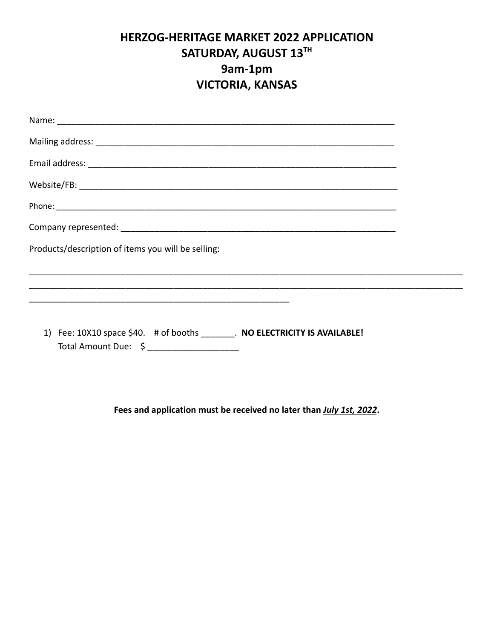## **HERZOG-HERITAGE MARKET 2022 APPLICATION SATURDAY, AUGUST 13 TH 9am-1pm VICTORIA, KANSAS**

| Products/description of items you will be selling:                                                               |  |
|------------------------------------------------------------------------------------------------------------------|--|
|                                                                                                                  |  |
| 1) Fee: 10X10 space \$40. # of booths . NO ELECTRICITY IS AVAILABLE!<br>Total Amount Due: \$ ___________________ |  |

**Fees and application must be received no later than** *July 1st, 2022***.**